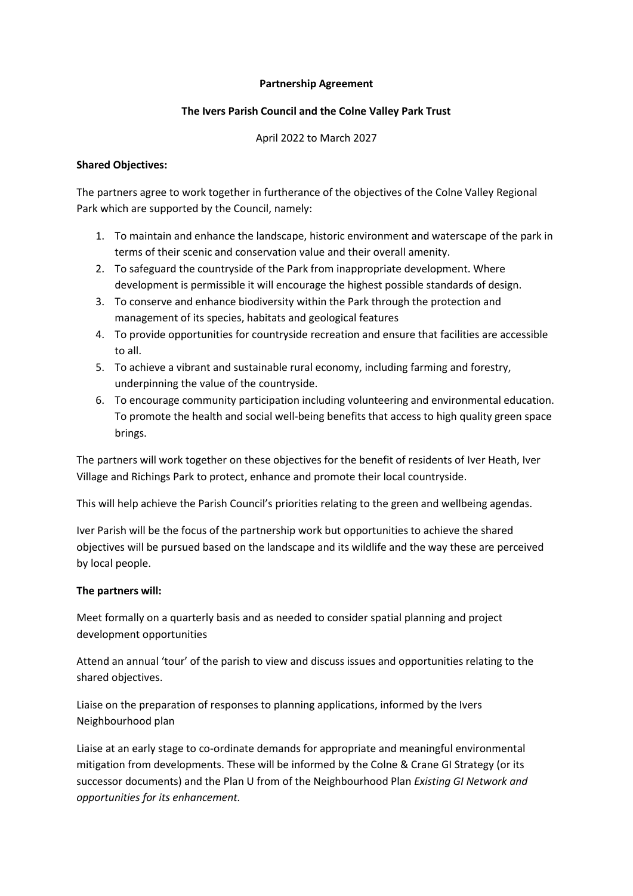#### **Partnership Agreement**

## **The Ivers Parish Council and the Colne Valley Park Trust**

#### April 2022 to March 2027

## **Shared Objectives:**

The partners agree to work together in furtherance of the objectives of the Colne Valley Regional Park which are supported by the Council, namely:

- 1. To maintain and enhance the landscape, historic environment and waterscape of the park in terms of their scenic and conservation value and their overall amenity.
- 2. To safeguard the countryside of the Park from inappropriate development. Where development is permissible it will encourage the highest possible standards of design.
- 3. To conserve and enhance biodiversity within the Park through the protection and management of its species, habitats and geological features
- 4. To provide opportunities for countryside recreation and ensure that facilities are accessible to all.
- 5. To achieve a vibrant and sustainable rural economy, including farming and forestry, underpinning the value of the countryside.
- 6. To encourage community participation including volunteering and environmental education. To promote the health and social well-being benefits that access to high quality green space brings.

The partners will work together on these objectives for the benefit of residents of Iver Heath, Iver Village and Richings Park to protect, enhance and promote their local countryside.

This will help achieve the Parish Council's priorities relating to the green and wellbeing agendas.

Iver Parish will be the focus of the partnership work but opportunities to achieve the shared objectives will be pursued based on the landscape and its wildlife and the way these are perceived by local people.

# **The partners will:**

Meet formally on a quarterly basis and as needed to consider spatial planning and project development opportunities

Attend an annual 'tour' of the parish to view and discuss issues and opportunities relating to the shared objectives.

Liaise on the preparation of responses to planning applications, informed by the Ivers Neighbourhood plan

Liaise at an early stage to co-ordinate demands for appropriate and meaningful environmental mitigation from developments. These will be informed by the Colne & Crane GI Strategy (or its successor documents) and the Plan U from of the Neighbourhood Plan *Existing GI Network and opportunities for its enhancement.*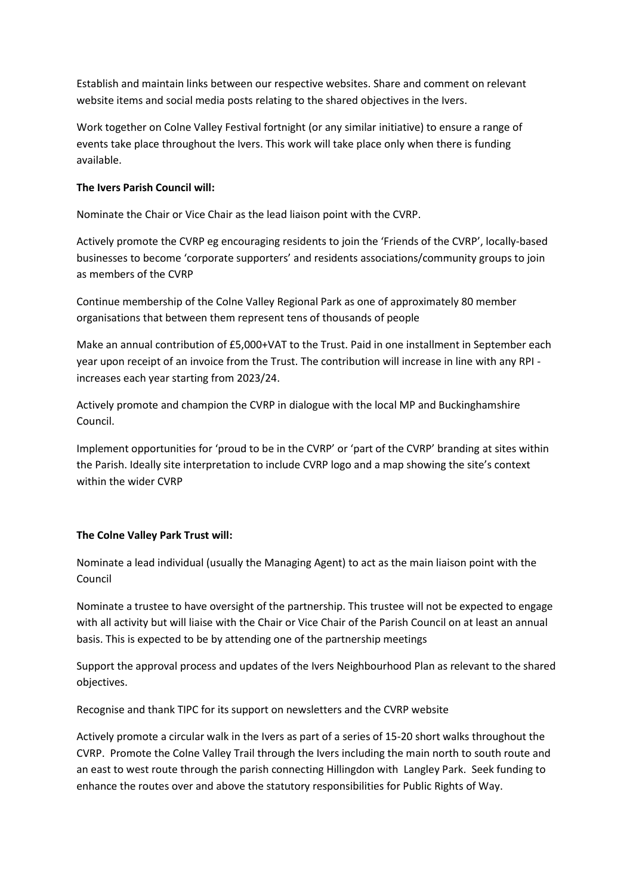Establish and maintain links between our respective websites. Share and comment on relevant website items and social media posts relating to the shared objectives in the Ivers.

Work together on Colne Valley Festival fortnight (or any similar initiative) to ensure a range of events take place throughout the Ivers. This work will take place only when there is funding available.

#### **The Ivers Parish Council will:**

Nominate the Chair or Vice Chair as the lead liaison point with the CVRP.

Actively promote the CVRP eg encouraging residents to join the 'Friends of the CVRP', locally-based businesses to become 'corporate supporters' and residents associations/community groups to join as members of the CVRP

Continue membership of the Colne Valley Regional Park as one of approximately 80 member organisations that between them represent tens of thousands of people

Make an annual contribution of £5,000+VAT to the Trust. Paid in one installment in September each year upon receipt of an invoice from the Trust. The contribution will increase in line with any RPI increases each year starting from 2023/24.

Actively promote and champion the CVRP in dialogue with the local MP and Buckinghamshire Council.

Implement opportunities for 'proud to be in the CVRP' or 'part of the CVRP' branding at sites within the Parish. Ideally site interpretation to include CVRP logo and a map showing the site's context within the wider CVRP

# **The Colne Valley Park Trust will:**

Nominate a lead individual (usually the Managing Agent) to act as the main liaison point with the Council

Nominate a trustee to have oversight of the partnership. This trustee will not be expected to engage with all activity but will liaise with the Chair or Vice Chair of the Parish Council on at least an annual basis. This is expected to be by attending one of the partnership meetings

Support the approval process and updates of the Ivers Neighbourhood Plan as relevant to the shared objectives.

Recognise and thank TIPC for its support on newsletters and the CVRP website

Actively promote a circular walk in the Ivers as part of a series of 15-20 short walks throughout the CVRP. Promote the Colne Valley Trail through the Ivers including the main north to south route and an east to west route through the parish connecting Hillingdon with Langley Park. Seek funding to enhance the routes over and above the statutory responsibilities for Public Rights of Way.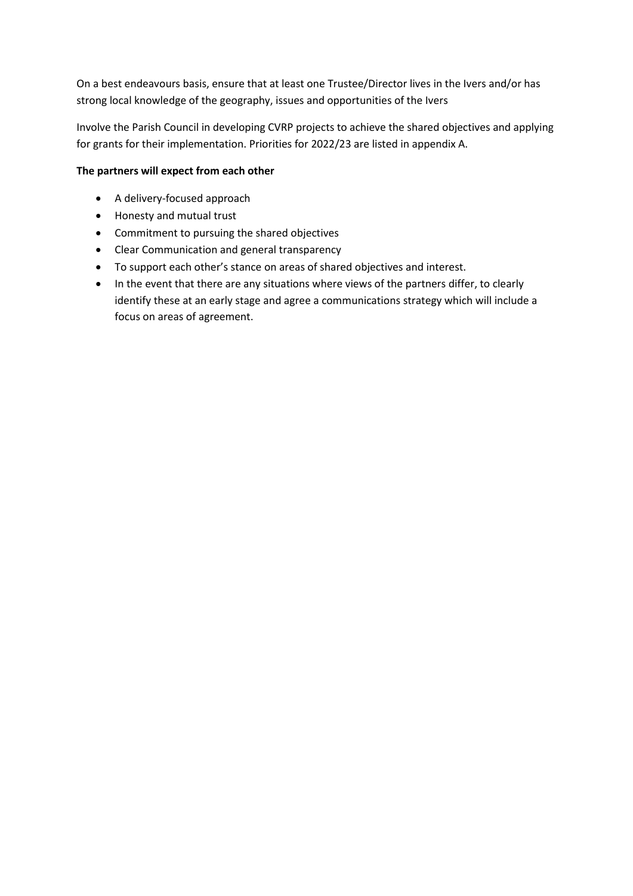On a best endeavours basis, ensure that at least one Trustee/Director lives in the Ivers and/or has strong local knowledge of the geography, issues and opportunities of the Ivers

Involve the Parish Council in developing CVRP projects to achieve the shared objectives and applying for grants for their implementation. Priorities for 2022/23 are listed in appendix A.

# **The partners will expect from each other**

- A delivery-focused approach
- Honesty and mutual trust
- Commitment to pursuing the shared objectives
- Clear Communication and general transparency
- To support each other's stance on areas of shared objectives and interest.
- In the event that there are any situations where views of the partners differ, to clearly identify these at an early stage and agree a communications strategy which will include a focus on areas of agreement.